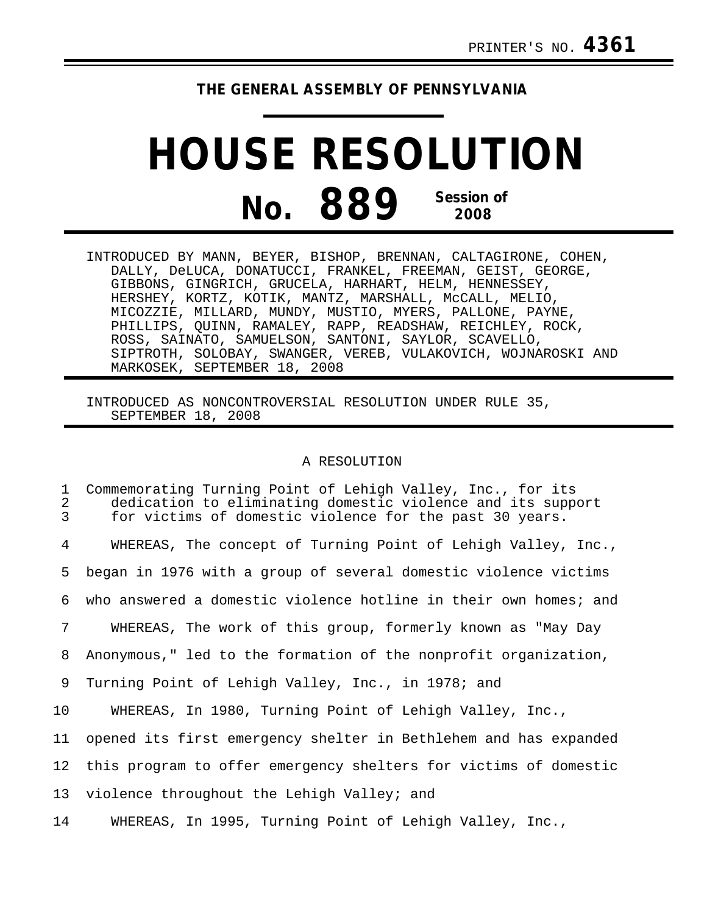## **THE GENERAL ASSEMBLY OF PENNSYLVANIA**

## **HOUSE RESOLUTION No. 889 Session of 2008**

| INTRODUCED BY MANN, BEYER, BISHOP, BRENNAN, CALTAGIRONE, COHEN, |
|-----------------------------------------------------------------|
| DALLY, DeLUCA, DONATUCCI, FRANKEL, FREEMAN, GEIST, GEORGE,      |
| GIBBONS, GINGRICH, GRUCELA, HARHART, HELM, HENNESSEY,           |
| HERSHEY, KORTZ, KOTIK, MANTZ, MARSHALL, MCCALL, MELIO,          |
| MICOZZIE, MILLARD, MUNDY, MUSTIO, MYERS, PALLONE, PAYNE,        |
| PHILLIPS, QUINN, RAMALEY, RAPP, READSHAW, REICHLEY, ROCK,       |
| ROSS, SAINATO, SAMUELSON, SANTONI, SAYLOR, SCAVELLO,            |
| SIPTROTH, SOLOBAY, SWANGER, VEREB, VULAKOVICH, WOJNAROSKI AND   |
| MARKOSEK, SEPTEMBER 18, 2008                                    |

INTRODUCED AS NONCONTROVERSIAL RESOLUTION UNDER RULE 35, SEPTEMBER 18, 2008

## A RESOLUTION

1 Commemorating Turning Point of Lehigh Valley, Inc., for its 2 dedication to eliminating domestic violence and its support<br>3 for victims of domestic violence for the past 30 years. for victims of domestic violence for the past 30 years. 4 WHEREAS, The concept of Turning Point of Lehigh Valley, Inc., 5 began in 1976 with a group of several domestic violence victims 6 who answered a domestic violence hotline in their own homes; and 7 WHEREAS, The work of this group, formerly known as "May Day 8 Anonymous," led to the formation of the nonprofit organization, 9 Turning Point of Lehigh Valley, Inc., in 1978; and 10 WHEREAS, In 1980, Turning Point of Lehigh Valley, Inc., 11 opened its first emergency shelter in Bethlehem and has expanded 12 this program to offer emergency shelters for victims of domestic 13 violence throughout the Lehigh Valley; and 14 WHEREAS, In 1995, Turning Point of Lehigh Valley, Inc.,